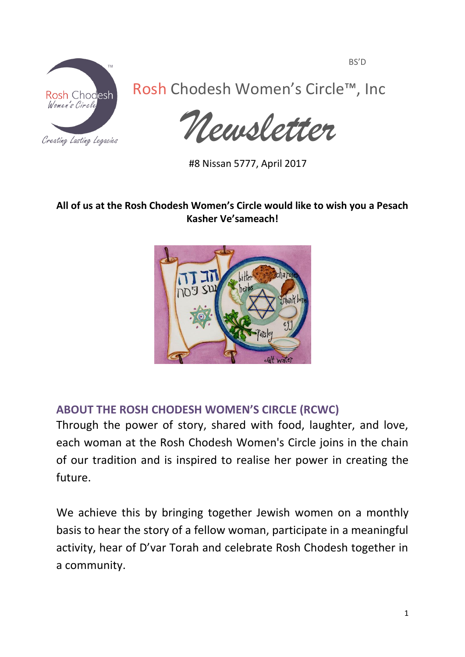

Rosh Chodesh Women's Circle™, Inc

*Newsletter*

#8 Nissan 5777, April 2017

# **All of us at the Rosh Chodesh Women's Circle would like to wish you a Pesach Kasher Ve'sameach!**



# **ABOUT THE ROSH CHODESH WOMEN'S CIRCLE (RCWC)**

Through the power of story, shared with food, laughter, and love, each woman at the Rosh Chodesh Women's Circle joins in the chain of our tradition and is inspired to realise her power in creating the future.

We achieve this by bringing together Jewish women on a monthly basis to hear the story of a fellow woman, participate in a meaningful activity, hear of D'var Torah and celebrate Rosh Chodesh together in a community.

BS'D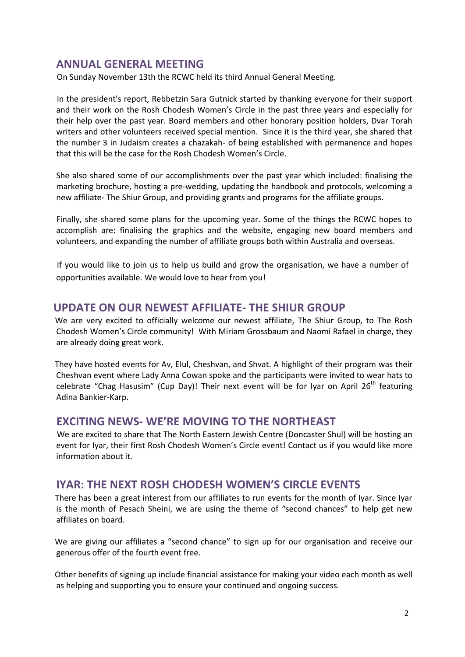### **ANNUAL GENERAL MEETING**

On Sunday November 13th the RCWC held its third Annual General Meeting.

 In the president's report, Rebbetzin Sara Gutnick started by thanking everyone for their support and their work on the Rosh Chodesh Women's Circle in the past three years and especially for their help over the past year. Board members and other honorary position holders, Dvar Torah writers and other volunteers received special mention. Since it is the third year, she shared that the number 3 in Judaism creates a chazakah- of being established with permanence and hopes that this will be the case for the Rosh Chodesh Women's Circle.

She also shared some of our accomplishments over the past year which included: finalising the marketing brochure, hosting a pre-wedding, updating the handbook and protocols, welcoming a new affiliate- The Shiur Group, and providing grants and programs for the affiliate groups.

Finally, she shared some plans for the upcoming year. Some of the things the RCWC hopes to accomplish are: finalising the graphics and the website, engaging new board members and volunteers, and expanding the number of affiliate groups both within Australia and overseas.

 If you would like to join us to help us build and grow the organisation, we have a number of opportunities available. We would love to hear from you!

#### **UPDATE ON OUR NEWEST AFFILIATE- THE SHIUR GROUP**

 We are very excited to officially welcome our newest affiliate, The Shiur Group, to The Rosh Chodesh Women's Circle community! With Miriam Grossbaum and Naomi Rafael in charge, they are already doing great work.

 They have hosted events for Av, Elul, Cheshvan, and Shvat. A highlight of their program was their Cheshvan event where Lady Anna Cowan spoke and the participants were invited to wear hats to celebrate "Chag Hasusim" (Cup Day)! Their next event will be for Iyar on April  $26<sup>th</sup>$  featuring Adina Bankier-Karp.

### **EXCITING NEWS- WE'RE MOVING TO THE NORTHEAST**

 We are excited to share that The North Eastern Jewish Centre (Doncaster Shul) will be hosting an event for Iyar, their first Rosh Chodesh Women's Circle event! Contact us if you would like more information about it.

### **IYAR: THE NEXT ROSH CHODESH WOMEN'S CIRCLE EVENTS**

 There has been a great interest from our affiliates to run events for the month of Iyar. Since Iyar is the month of Pesach Sheini, we are using the theme of "second chances" to help get new affiliates on board.

 We are giving our affiliates a "second chance" to sign up for our organisation and receive our generous offer of the fourth event free.

 Other benefits of signing up include financial assistance for making your video each month as well as helping and supporting you to ensure your continued and ongoing success.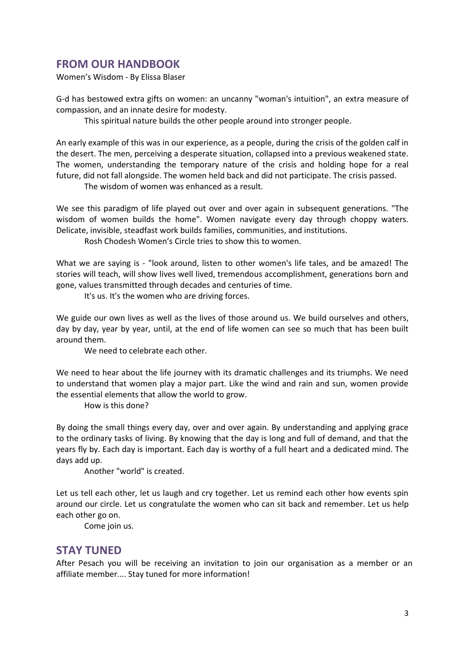### **FROM OUR HANDBOOK**

Women's Wisdom - By Elissa Blaser

G-d has bestowed extra gifts on women: an uncanny "woman's intuition", an extra measure of compassion, and an innate desire for modesty.

This spiritual nature builds the other people around into stronger people.

An early example of this was in our experience, as a people, during the crisis of the golden calf in the desert. The men, perceiving a desperate situation, collapsed into a previous weakened state. The women, understanding the temporary nature of the crisis and holding hope for a real future, did not fall alongside. The women held back and did not participate. The crisis passed.

The wisdom of women was enhanced as a result.

We see this paradigm of life played out over and over again in subsequent generations. "The wisdom of women builds the home". Women navigate every day through choppy waters. Delicate, invisible, steadfast work builds families, communities, and institutions.

Rosh Chodesh Women's Circle tries to show this to women.

What we are saying is - "look around, listen to other women's life tales, and be amazed! The stories will teach, will show lives well lived, tremendous accomplishment, generations born and gone, values transmitted through decades and centuries of time.

It's us. It's the women who are driving forces.

We guide our own lives as well as the lives of those around us. We build ourselves and others, day by day, year by year, until, at the end of life women can see so much that has been built around them.

We need to celebrate each other.

We need to hear about the life journey with its dramatic challenges and its triumphs. We need to understand that women play a major part. Like the wind and rain and sun, women provide the essential elements that allow the world to grow.

How is this done?

By doing the small things every day, over and over again. By understanding and applying grace to the ordinary tasks of living. By knowing that the day is long and full of demand, and that the years fly by. Each day is important. Each day is worthy of a full heart and a dedicated mind. The days add up.

Another "world" is created.

Let us tell each other, let us laugh and cry together. Let us remind each other how events spin around our circle. Let us congratulate the women who can sit back and remember. Let us help each other go on.

Come join us.

#### **STAY TUNED**

After Pesach you will be receiving an invitation to join our organisation as a member or an affiliate member.... Stay tuned for more information!